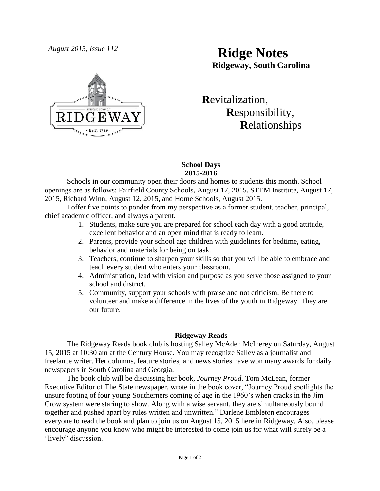

# *August 2015, Issue 112* **Ridge Notes Ridgeway, South Carolina**

 **R**evitalization,  **R**esponsibility,  **R**elationships

### **School Days 2015-2016**

Schools in our community open their doors and homes to students this month. School openings are as follows: Fairfield County Schools, August 17, 2015. STEM Institute, August 17, 2015, Richard Winn, August 12, 2015, and Home Schools, August 2015.

I offer five points to ponder from my perspective as a former student, teacher, principal, chief academic officer, and always a parent.

- 1. Students, make sure you are prepared for school each day with a good attitude, excellent behavior and an open mind that is ready to learn.
- 2. Parents, provide your school age children with guidelines for bedtime, eating, behavior and materials for being on task.
- 3. Teachers, continue to sharpen your skills so that you will be able to embrace and teach every student who enters your classroom.
- 4. Administration, lead with vision and purpose as you serve those assigned to your school and district.
- 5. Community, support your schools with praise and not criticism. Be there to volunteer and make a difference in the lives of the youth in Ridgeway. They are our future.

## **Ridgeway Reads**

The Ridgeway Reads book club is hosting Salley McAden McInerey on Saturday, August 15, 2015 at 10:30 am at the Century House. You may recognize Salley as a journalist and freelance writer. Her columns, feature stories, and news stories have won many awards for daily newspapers in South Carolina and Georgia.

The book club will be discussing her book, *Journey Proud*. Tom McLean, former Executive Editor of The State newspaper, wrote in the book cover, "Journey Proud spotlights the unsure footing of four young Southerners coming of age in the 1960's when cracks in the Jim Crow system were staring to show. Along with a wise servant, they are simultaneously bound together and pushed apart by rules written and unwritten." Darlene Embleton encourages everyone to read the book and plan to join us on August 15, 2015 here in Ridgeway. Also, please encourage anyone you know who might be interested to come join us for what will surely be a "lively" discussion.